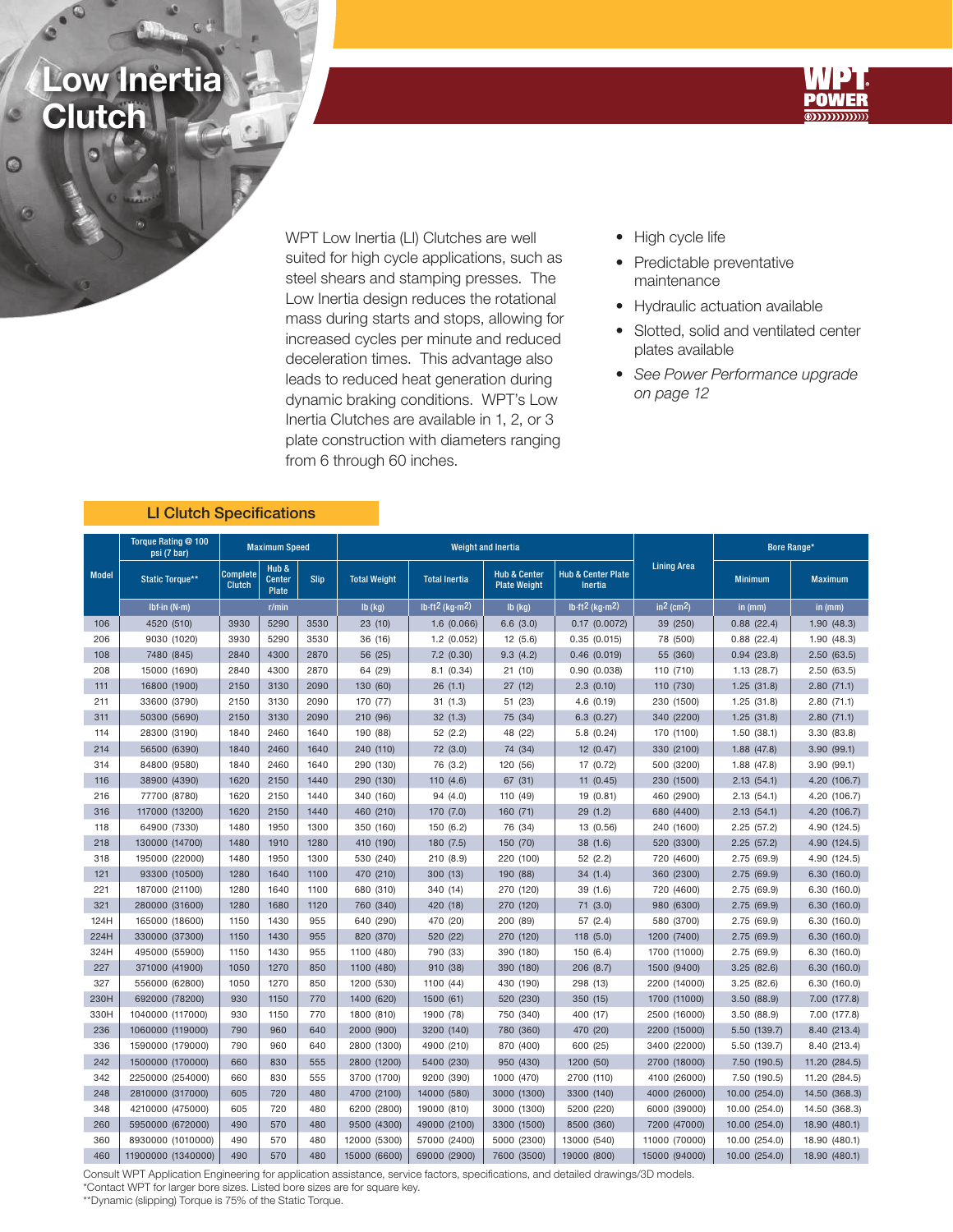## Low Inertia **Clutch**



WPT Low Inertia (LI) Clutches are well suited for high cycle applications, such as steel shears and stamping presses. The Low Inertia design reduces the rotational mass during starts and stops, allowing for increased cycles per minute and reduced deceleration times. This advantage also leads to reduced heat generation during dynamic braking conditions. WPT's Low Inertia Clutches are available in 1, 2, or 3 plate construction with diameters ranging from 6 through 60 inches.

- High cycle life
- Predictable preventative maintenance
- Hydraulic actuation available
- Slotted, solid and ventilated center plates available
- See Power Performance upgrade on page 12

|  | <b>LI Clutch Specifications</b> |  |
|--|---------------------------------|--|
|  |                                 |  |

|              | Torque Rating @ 100<br>psi (7 bar) | <b>Maximum Speed</b>                                                               |              |           |                                             |                | <b>Weight and Inertia</b>                                                                         |                          | <b>Bore Range*</b> |                |                |
|--------------|------------------------------------|------------------------------------------------------------------------------------|--------------|-----------|---------------------------------------------|----------------|---------------------------------------------------------------------------------------------------|--------------------------|--------------------|----------------|----------------|
| <b>Model</b> | <b>Static Torque**</b>             | Hub &<br>Complete<br><b>Center</b><br><b>Slip</b><br><b>Clutch</b><br><b>Plate</b> |              |           | <b>Total Weight</b><br><b>Total Inertia</b> |                | <b>Hub &amp; Center</b><br><b>Hub &amp; Center Plate</b><br><b>Plate Weight</b><br><b>Inertia</b> |                          | <b>Lining Area</b> | <b>Minimum</b> | <b>Maximum</b> |
|              | Ibf-in $(N-m)$                     | r/min                                                                              |              | $Ib$ (kg) | $lb·ft2$ (kg·m <sup>2)</sup>                | $Ib$ (kg)      | $lb·ft2$ (kg $·m2$ )                                                                              | $in2$ (cm <sup>2</sup> ) | in (mm)            | in (mm)        |                |
| 106          | 4520 (510)                         | 3930                                                                               | 5290         | 3530      | 23(10)                                      | 1.6(0.066)     | 6.6(3.0)                                                                                          | $0.17$ $(0.0072)$        | 39 (250)           | 0.88(22.4)     | 1.90(48.3)     |
| 206          | 9030 (1020)                        | 3930                                                                               | 5290         | 3530      | 36 (16)                                     | $1.2$ (0.052)  | 12 (5.6)                                                                                          | 0.35(0.015)              | 78 (500)           | 0.88(22.4)     | 1.90(48.3)     |
| 108          | 7480 (845)                         | 2840                                                                               | 4300         | 2870      | 56 (25)                                     | $7.2$ $(0.30)$ | 9.3(4.2)                                                                                          | 0.46(0.019)              | 55 (360)           | 0.94(23.8)     | 2.50(63.5)     |
| 208          | 15000 (1690)                       | 2840                                                                               | 4300         | 2870      | 64 (29)                                     | 8.1(0.34)      | 21(10)                                                                                            | 0.90(0.038)              | 110 (710)          | 1.13(28.7)     | 2.50(63.5)     |
| 111          | 16800 (1900)                       | 2150                                                                               | 3130         | 2090      | 130 (60)                                    | 26(1.1)        | 27 (12)                                                                                           | 2.3(0.10)                | 110 (730)          | 1.25(31.8)     | 2.80(71.1)     |
| 211          | 33600 (3790)                       | 2150                                                                               | 3130         | 2090      | 170 (77)                                    | 31(1.3)        | 51 (23)                                                                                           | 4.6(0.19)                | 230 (1500)         | 1.25(31.8)     | 2.80(71.1)     |
| 311          | 50300 (5690)                       | 2150                                                                               | 3130         | 2090      | 210 (96)                                    | 32(1.3)        | 75 (34)                                                                                           | 6.3(0.27)                | 340 (2200)         | 1.25(31.8)     | 2.80(71.1)     |
| 114          | 28300 (3190)                       | 1840                                                                               | 2460         | 1640      | 190 (88)                                    | 52 (2.2)       | 48 (22)<br>5.8(0.24)                                                                              |                          | 170 (1100)         | 1.50(38.1)     | 3.30(83.8)     |
| 214          | 56500 (6390)                       | 1840                                                                               | 2460         | 1640      | 240 (110)                                   | 72 (3.0)       | 74 (34)                                                                                           | 12(0.47)                 | 330 (2100)         | 1.88(47.8)     | 3.90(99.1)     |
| 314          | 84800 (9580)                       | 1840                                                                               | 2460<br>1640 |           | 290 (130)                                   | 76 (3.2)       | 120 (56)<br>17 (0.72)                                                                             |                          | 500 (3200)         | 1.88 (47.8)    | 3.90(99.1)     |
| 116          | 38900 (4390)                       | 1620                                                                               | 2150         | 1440      | 290 (130)                                   | 110 (4.6)      | 67 (31)                                                                                           | 11(0.45)                 | 230 (1500)         | 2.13(54.1)     | 4.20 (106.7)   |
| 216          | 77700 (8780)                       | 1620                                                                               | 2150         | 1440      | 340 (160)                                   | 94 (4.0)       | 110 (49)                                                                                          | 19 (0.81)                | 460 (2900)         | 2.13(54.1)     | 4.20 (106.7)   |
| 316          | 117000 (13200)                     | 1620                                                                               | 2150         | 1440      | 460 (210)                                   | 170 (7.0)      | 160 (71)                                                                                          | 29(1.2)                  | 680 (4400)         | 2.13(54.1)     | 4.20 (106.7)   |
| 118          | 64900 (7330)                       | 1480                                                                               | 1950         | 1300      | 350 (160)                                   | 150(6.2)       | 76 (34)                                                                                           | 13 (0.56)                | 240 (1600)         | 2.25(57.2)     | 4.90 (124.5)   |
| 218          | 130000 (14700)                     | 1480                                                                               | 1910         | 1280      | 410 (190)                                   | 180 (7.5)      | 150 (70)                                                                                          | 38(1.6)                  | 520 (3300)         | 2.25(57.2)     | 4.90 (124.5)   |
| 318          | 195000 (22000)                     | 1480                                                                               | 1950         | 1300      | 530 (240)                                   | 210(8.9)       | 220 (100)                                                                                         | 52(2.2)                  | 720 (4600)         | 2.75 (69.9)    | 4.90 (124.5)   |
| 121          | 93300 (10500)                      | 1280                                                                               | 1640         | 1100      | 470 (210)                                   | 300 (13)       | 190 (88)                                                                                          | 34(1.4)                  | 360 (2300)         | 2.75(69.9)     | 6.30(160.0)    |
| 221          | 187000 (21100)                     | 1280                                                                               | 1640         | 1100      | 680 (310)                                   | 340 (14)       | 270 (120)                                                                                         | 39 (1.6)                 | 720 (4600)         | 2.75 (69.9)    | 6.30 (160.0)   |
| 321          | 280000 (31600)                     | 1280                                                                               | 1680         | 1120      | 760 (340)                                   | 420 (18)       | 270 (120)                                                                                         | 71(3.0)                  | 980 (6300)         | 2.75(69.9)     | 6.30(160.0)    |
| 124H         | 165000 (18600)                     | 1150                                                                               | 1430         | 955       | 640 (290)                                   | 470 (20)       | 200 (89)                                                                                          | 57 (2.4)                 | 580 (3700)         | 2.75 (69.9)    | 6.30(160.0)    |
| 224H         | 330000 (37300)                     | 1150                                                                               | 1430         | 955       | 820 (370)                                   | 520 (22)       | 270 (120)                                                                                         | 118 (5.0)                | 1200 (7400)        | 2.75(69.9)     | 6.30(160.0)    |
| 324H         | 495000 (55900)                     | 1150                                                                               | 1430         | 955       | 1100 (480)                                  | 790 (33)       | 390 (180)                                                                                         | 150 (6.4)                | 1700 (11000)       | 2.75(69.9)     | 6.30 (160.0)   |
| 227          | 371000 (41900)                     | 1050                                                                               | 1270         | 850       | 1100 (480)                                  | 910 (38)       | 390 (180)                                                                                         | 206(8.7)                 | 1500 (9400)        | 3.25(82.6)     | 6.30(160.0)    |
| 327          | 556000 (62800)                     | 1050                                                                               | 1270         | 850       | 1200 (530)                                  | 1100 (44)      | 430 (190)                                                                                         | 298 (13)                 | 2200 (14000)       | 3.25(82.6)     | 6.30(160.0)    |
| 230H         | 692000 (78200)                     | 930                                                                                | 1150         | 770       | 1400 (620)                                  | 1500 (61)      | 520 (230)                                                                                         | 350 (15)                 | 1700 (11000)       | 3.50(88.9)     | 7.00 (177.8)   |
| 330H         | 1040000 (117000)                   | 930                                                                                | 1150         | 770       | 1800 (810)                                  | 1900 (78)      | 750 (340)                                                                                         | 400 (17)                 | 2500 (16000)       | 3.50(88.9)     | 7.00 (177.8)   |
| 236          | 1060000 (119000)                   | 790                                                                                | 960          | 640       | 2000 (900)                                  | 3200 (140)     | 780 (360)                                                                                         | 470 (20)                 | 2200 (15000)       | 5.50 (139.7)   | 8.40 (213.4)   |
| 336          | 1590000 (179000)                   | 790                                                                                | 960          | 640       | 2800 (1300)                                 | 4900 (210)     | 870 (400)                                                                                         | 600 (25)                 | 3400 (22000)       | 5.50 (139.7)   | 8.40 (213.4)   |
| 242          | 1500000 (170000)                   | 660                                                                                | 830          | 555       | 2800 (1200)                                 | 5400 (230)     | 950 (430)                                                                                         | 1200 (50)                | 2700 (18000)       | 7.50 (190.5)   | 11.20 (284.5)  |
| 342          | 2250000 (254000)                   | 660                                                                                | 830          | 555       | 3700 (1700)                                 | 9200 (390)     | 1000 (470)                                                                                        | 2700 (110)               | 4100 (26000)       | 7.50 (190.5)   | 11.20 (284.5)  |
| 248          | 2810000 (317000)                   | 605                                                                                | 720          | 480       | 4700 (2100)                                 | 14000 (580)    | 3000 (1300)                                                                                       | 3300 (140)               | 4000 (26000)       | 10.00 (254.0)  | 14.50 (368.3)  |
| 348          | 4210000 (475000)                   | 605                                                                                | 720          | 480       | 6200 (2800)                                 | 19000 (810)    | 3000 (1300)                                                                                       | 5200 (220)               | 6000 (39000)       | 10.00 (254.0)  | 14.50 (368.3)  |
| 260          | 5950000 (672000)                   | 490                                                                                | 570          | 480       | 9500 (4300)                                 | 49000 (2100)   | 3300 (1500)                                                                                       | 8500 (360)               | 7200 (47000)       | 10.00 (254.0)  | 18.90 (480.1)  |
| 360          | 8930000 (1010000)                  | 490                                                                                | 570          | 480       | 12000 (5300)                                | 57000 (2400)   | 5000 (2300)                                                                                       | 13000 (540)              | 11000 (70000)      | 10.00 (254.0)  | 18.90 (480.1)  |
| 460          | 11900000 (1340000)                 | 490                                                                                | 570          | 480       | 15000 (6600)                                | 69000 (2900)   | 7600 (3500)                                                                                       | 19000 (800)              | 15000 (94000)      | 10.00 (254.0)  | 18.90 (480.1)  |

Consult WPT Application Engineering for application assistance, service factors, specifications, and detailed drawings/3D models.

\*Contact WPT for larger bore sizes. Listed bore sizes are for square key.

\*\*Dynamic (slipping) Torque is 75% of the Static Torque.